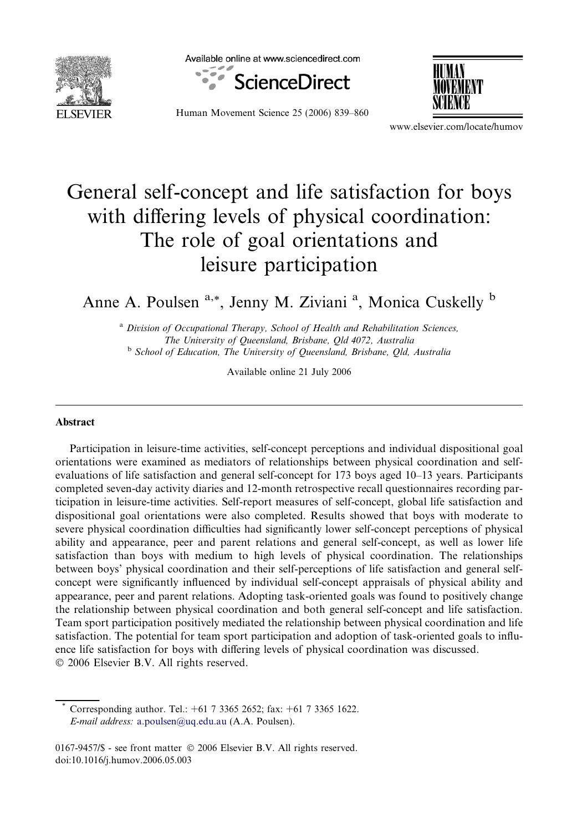

Available online at www.sciencedirect.com



Human Movement Science 25 (2006) 839–860



www.elsevier.com/locate/humov

## General self-concept and life satisfaction for boys with differing levels of physical coordination: The role of goal orientations and leisure participation

Anne A. Poulsen <sup>a,\*</sup>, Jenny M. Ziviani<sup>a</sup>, Monica Cuskelly <sup>b</sup>

<sup>a</sup> Division of Occupational Therapy, School of Health and Rehabilitation Sciences, The University of Queensland, Brisbane, Qld 4072, Australia <sup>b</sup> School of Education, The University of Queensland, Brisbane, Qld, Australia

Available online 21 July 2006

## Abstract

Participation in leisure-time activities, self-concept perceptions and individual dispositional goal orientations were examined as mediators of relationships between physical coordination and selfevaluations of life satisfaction and general self-concept for 173 boys aged 10–13 years. Participants completed seven-day activity diaries and 12-month retrospective recall questionnaires recording participation in leisure-time activities. Self-report measures of self-concept, global life satisfaction and dispositional goal orientations were also completed. Results showed that boys with moderate to severe physical coordination difficulties had significantly lower self-concept perceptions of physical ability and appearance, peer and parent relations and general self-concept, as well as lower life satisfaction than boys with medium to high levels of physical coordination. The relationships between boys' physical coordination and their self-perceptions of life satisfaction and general selfconcept were significantly influenced by individual self-concept appraisals of physical ability and appearance, peer and parent relations. Adopting task-oriented goals was found to positively change the relationship between physical coordination and both general self-concept and life satisfaction. Team sport participation positively mediated the relationship between physical coordination and life satisfaction. The potential for team sport participation and adoption of task-oriented goals to influence life satisfaction for boys with differing levels of physical coordination was discussed. © 2006 Elsevier B.V. All rights reserved.

Corresponding author. Tel.: +61 7 3365 2652; fax: +61 7 3365 1622. E-mail address: [a.poulsen@uq.edu.au](mailto:a.poulsen@uq.edu.au) (A.A. Poulsen).

 $0167-9457\$  - see front matter  $\odot$  2006 Elsevier B.V. All rights reserved. doi:10.1016/j.humov.2006.05.003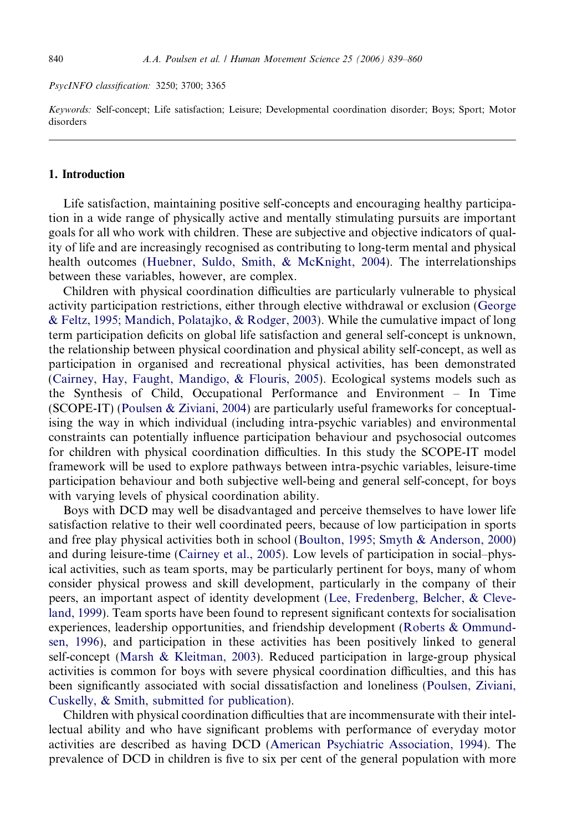PsycINFO classification: 3250; 3700; 3365

Keywords: Self-concept; Life satisfaction; Leisure; Developmental coordination disorder; Boys; Sport; Motor disorders

## 1. Introduction

Life satisfaction, maintaining positive self-concepts and encouraging healthy participation in a wide range of physically active and mentally stimulating pursuits are important goals for all who work with children. These are subjective and objective indicators of quality of life and are increasingly recognised as contributing to long-term mental and physical health outcomes [\(Huebner, Suldo, Smith, & McKnight, 2004\)](#page--1-0). The interrelationships between these variables, however, are complex.

Children with physical coordination difficulties are particularly vulnerable to physical activity participation restrictions, either through elective withdrawal or exclusion [\(George](#page--1-0) [& Feltz, 1995; Mandich, Polatajko, & Rodger, 2003](#page--1-0)). While the cumulative impact of long term participation deficits on global life satisfaction and general self-concept is unknown, the relationship between physical coordination and physical ability self-concept, as well as participation in organised and recreational physical activities, has been demonstrated [\(Cairney, Hay, Faught, Mandigo, & Flouris, 2005](#page--1-0)). Ecological systems models such as the Synthesis of Child, Occupational Performance and Environment – In Time (SCOPE-IT) [\(Poulsen & Ziviani, 2004\)](#page--1-0) are particularly useful frameworks for conceptualising the way in which individual (including intra-psychic variables) and environmental constraints can potentially influence participation behaviour and psychosocial outcomes for children with physical coordination difficulties. In this study the SCOPE-IT model framework will be used to explore pathways between intra-psychic variables, leisure-time participation behaviour and both subjective well-being and general self-concept, for boys with varying levels of physical coordination ability.

Boys with DCD may well be disadvantaged and perceive themselves to have lower life satisfaction relative to their well coordinated peers, because of low participation in sports and free play physical activities both in school [\(Boulton, 1995; Smyth & Anderson, 2000](#page--1-0)) and during leisure-time [\(Cairney et al., 2005](#page--1-0)). Low levels of participation in social–physical activities, such as team sports, may be particularly pertinent for boys, many of whom consider physical prowess and skill development, particularly in the company of their peers, an important aspect of identity development ([Lee, Fredenberg, Belcher, & Cleve](#page--1-0)[land, 1999\)](#page--1-0). Team sports have been found to represent significant contexts for socialisation experiences, leadership opportunities, and friendship development [\(Roberts & Ommund](#page--1-0)[sen, 1996](#page--1-0)), and participation in these activities has been positively linked to general self-concept ([Marsh & Kleitman, 2003\)](#page--1-0). Reduced participation in large-group physical activities is common for boys with severe physical coordination difficulties, and this has been significantly associated with social dissatisfaction and loneliness [\(Poulsen, Ziviani,](#page--1-0) [Cuskelly, & Smith, submitted for publication\)](#page--1-0).

Children with physical coordination difficulties that are incommensurate with their intellectual ability and who have significant problems with performance of everyday motor activities are described as having DCD [\(American Psychiatric Association, 1994](#page--1-0)). The prevalence of DCD in children is five to six per cent of the general population with more